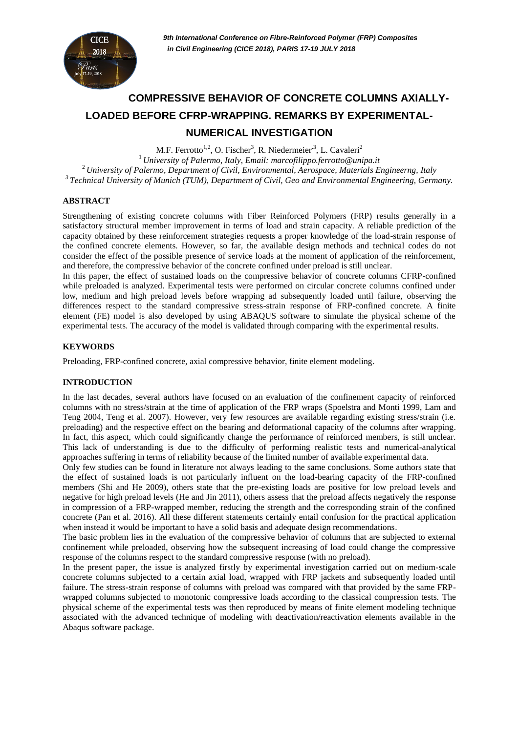# **COMPRESSIVE BEHAVIOR OF CONCRETE COLUMNS AXIALLY-LOADED BEFORE CFRP-WRAPPING. REMARKS BY EXPERIMENTAL-NUMERICAL INVESTIGATION**

M.F. Ferrotto<sup>1,2</sup>, O. Fischer<sup>3</sup>, R. Niedermeier<sup>3</sup>, L. Cavaleri<sup>2</sup>

<sup>1</sup>*University of Palermo, Italy*, *Email: marcofilippo.ferrott[o@u](mailto:emmanuel.ferrier@univ-lyon1.fr)nipa.it* <sup>2</sup>*University of Palermo, Department of Civil, Environmental, Aerospace, Materials Engineerng, Italy <sup>3</sup>Technical University of Munich (TUM), Department of Civil, Geo and Environmental Engineering, Germany.*

#### **ABSTRACT**

Strengthening of existing concrete columns with Fiber Reinforced Polymers (FRP) results generally in a satisfactory structural member improvement in terms of load and strain capacity. A reliable prediction of the capacity obtained by these reinforcement strategies requests a proper knowledge of the load-strain response of the confined concrete elements. However, so far, the available design methods and technical codes do not consider the effect of the possible presence of service loads at the moment of application of the reinforcement, and therefore, the compressive behavior of the concrete confined under preload is still unclear.

In this paper, the effect of sustained loads on the compressive behavior of concrete columns CFRP-confined while preloaded is analyzed. Experimental tests were performed on circular concrete columns confined under low, medium and high preload levels before wrapping ad subsequently loaded until failure, observing the differences respect to the standard compressive stress-strain response of FRP-confined concrete. A finite element (FE) model is also developed by using ABAQUS software to simulate the physical scheme of the experimental tests. The accuracy of the model is validated through comparing with the experimental results.

## **KEYWORDS**

Preloading, FRP-confined concrete, axial compressive behavior, finite element modeling.

#### **INTRODUCTION**

In the last decades, several authors have focused on an evaluation of the confinement capacity of reinforced columns with no stress/strain at the time of application of the FRP wraps (Spoelstra and Monti 1999, Lam and Teng 2004, Teng et al. 2007). However, very few resources are available regarding existing stress/strain (i.e. preloading) and the respective effect on the bearing and deformational capacity of the columns after wrapping. In fact, this aspect, which could significantly change the performance of reinforced members, is still unclear. This lack of understanding is due to the difficulty of performing realistic tests and numerical-analytical approaches suffering in terms of reliability because of the limited number of available experimental data.

Only few studies can be found in literature not always leading to the same conclusions. Some authors state that the effect of sustained loads is not particularly influent on the load-bearing capacity of the FRP-confined members (Shi and He 2009), others state that the pre-existing loads are positive for low preload levels and negative for high preload levels (He and Jin 2011), others assess that the preload affects negatively the response in compression of a FRP-wrapped member, reducing the strength and the corresponding strain of the confined concrete (Pan et al. 2016). All these different statements certainly entail confusion for the practical application when instead it would be important to have a solid basis and adequate design recommendations.

The basic problem lies in the evaluation of the compressive behavior of columns that are subjected to external confinement while preloaded, observing how the subsequent increasing of load could change the compressive response of the columns respect to the standard compressive response (with no preload).

In the present paper, the issue is analyzed firstly by experimental investigation carried out on medium-scale concrete columns subjected to a certain axial load, wrapped with FRP jackets and subsequently loaded until failure. The stress-strain response of columns with preload was compared with that provided by the same FRPwrapped columns subjected to monotonic compressive loads according to the classical compression tests. The physical scheme of the experimental tests was then reproduced by means of finite element modeling technique associated with the advanced technique of modeling with deactivation/reactivation elements available in the Abaqus software package.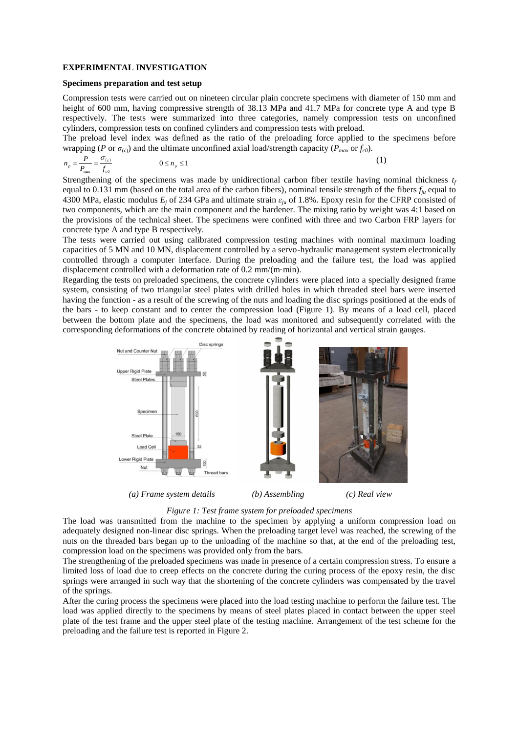#### **EXPERIMENTAL INVESTIGATION**

#### **Specimens preparation and test setup**

Compression tests were carried out on nineteen circular plain concrete specimens with diameter of 150 mm and height of 600 mm, having compressive strength of 38.13 MPa and 41.7 MPa for concrete type A and type B respectively. The tests were summarized into three categories, namely compression tests on unconfined cylinders, compression tests on confined cylinders and compression tests with preload.

The preload level index was defined as the ratio of the preloading force applied to the specimens before wrapping (*P* or  $\sigma_{\text{(c)}}$ ) and the ultimate unconfined axial load/strength capacity ( $P_{max}$  or  $f_{\text{(c)}}$ ).

$$
n_{p} = \frac{P}{P_{\text{max}}} = \frac{\sigma_{(s)}}{f_{c0}} \qquad \qquad 0 \le n_{p} \le 1 \qquad (1)
$$

Strengthening of the specimens was made by unidirectional carbon fiber textile having nominal thickness  $t_f$ equal to 0.131 mm (based on the total area of the carbon fibers), nominal tensile strength of the fibers *fju* equal to 4300 MPa, elastic modulus *E<sup>j</sup>* of 234 GPa and ultimate strain *εju* of 1.8%. Epoxy resin for the CFRP consisted of two components, which are the main component and the hardener. The mixing ratio by weight was 4:1 based on the provisions of the technical sheet. The specimens were confined with three and two Carbon FRP layers for concrete type A and type B respectively.

The tests were carried out using calibrated compression testing machines with nominal maximum loading capacities of 5 MN and 10 MN, displacement controlled by a servo-hydraulic management system electronically controlled through a computer interface. During the preloading and the failure test, the load was applied displacement controlled with a deformation rate of 0.2 mm/(m·min).

Regarding the tests on preloaded specimens, the concrete cylinders were placed into a specially designed frame system, consisting of two triangular steel plates with drilled holes in which threaded steel bars were inserted having the function - as a result of the screwing of the nuts and loading the disc springs positioned at the ends of the bars - to keep constant and to center the compression load (Figure 1). By means of a load cell, placed between the bottom plate and the specimens, the load was monitored and subsequently correlated with the corresponding deformations of the concrete obtained by reading of horizontal and vertical strain gauges.



*(a) Frame system details (b) Assembling (c) Real view* 

# *Figure 1: Test frame system for preloaded specimens*

The load was transmitted from the machine to the specimen by applying a uniform compression load on adequately designed non-linear disc springs. When the preloading target level was reached, the screwing of the nuts on the threaded bars began up to the unloading of the machine so that, at the end of the preloading test, compression load on the specimens was provided only from the bars.

The strengthening of the preloaded specimens was made in presence of a certain compression stress. To ensure a limited loss of load due to creep effects on the concrete during the curing process of the epoxy resin, the disc springs were arranged in such way that the shortening of the concrete cylinders was compensated by the travel of the springs.

After the curing process the specimens were placed into the load testing machine to perform the failure test. The load was applied directly to the specimens by means of steel plates placed in contact between the upper steel plate of the test frame and the upper steel plate of the testing machine. Arrangement of the test scheme for the preloading and the failure test is reported in Figure 2.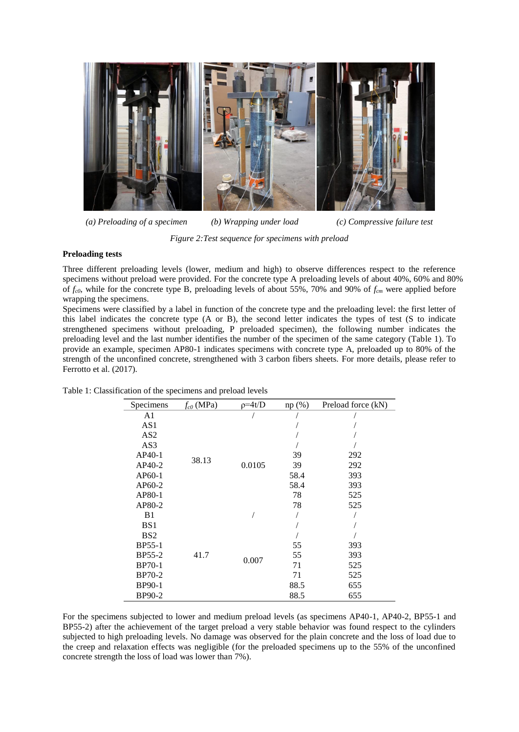

*(a) Preloading of a specimen (b) Wrapping under load (c) Compressive failure test* 

*Figure 2:Test sequence for specimens with preload*

#### **Preloading tests**

Three different preloading levels (lower, medium and high) to observe differences respect to the reference specimens without preload were provided. For the concrete type A preloading levels of about 40%, 60% and 80% of *fc0*, while for the concrete type B, preloading levels of about 55%, 70% and 90% of *fcm* were applied before wrapping the specimens.

Specimens were classified by a label in function of the concrete type and the preloading level: the first letter of this label indicates the concrete type (A or B), the second letter indicates the types of test (S to indicate strengthened specimens without preloading, P preloaded specimen), the following number indicates the preloading level and the last number identifies the number of the specimen of the same category (Table 1). To provide an example, specimen AP80-1 indicates specimens with concrete type A, preloaded up to 80% of the strength of the unconfined concrete, strengthened with 3 carbon fibers sheets. For more details, please refer to Ferrotto et al. (2017).

| Specimens       | $f_{c0}$ (MPa) | $p=4t/D$ | np (%) | Preload force (kN) |  |  |
|-----------------|----------------|----------|--------|--------------------|--|--|
| A1              |                |          |        |                    |  |  |
| AS1             |                |          |        |                    |  |  |
| AS <sub>2</sub> |                |          |        |                    |  |  |
| AS3             |                |          |        |                    |  |  |
| AP40-1          |                |          | 39     | 292                |  |  |
| AP40-2          | 38.13          | 0.0105   | 39     | 292                |  |  |
| AP60-1          |                |          | 58.4   | 393                |  |  |
| $AP60-2$        |                |          | 58.4   | 393                |  |  |
| AP80-1          |                |          | 78     | 525                |  |  |
| AP80-2          |                |          | 78     | 525                |  |  |
| B1              |                |          |        |                    |  |  |
| BS1             |                |          |        |                    |  |  |
| B <sub>S2</sub> |                |          |        |                    |  |  |
| <b>BP55-1</b>   |                |          | 55     | 393                |  |  |
| BP55-2          | 41.7           |          | 55     | 393                |  |  |
| <b>BP70-1</b>   |                | 0.007    | 71     | 525                |  |  |
| BP70-2          |                |          | 71     | 525                |  |  |
| <b>BP90-1</b>   |                |          | 88.5   | 655                |  |  |
| BP90-2          |                |          | 88.5   | 655                |  |  |

Table 1: Classification of the specimens and preload levels

For the specimens subjected to lower and medium preload levels (as specimens AP40-1, AP40-2, BP55-1 and BP55-2) after the achievement of the target preload a very stable behavior was found respect to the cylinders subjected to high preloading levels. No damage was observed for the plain concrete and the loss of load due to the creep and relaxation effects was negligible (for the preloaded specimens up to the 55% of the unconfined concrete strength the loss of load was lower than 7%).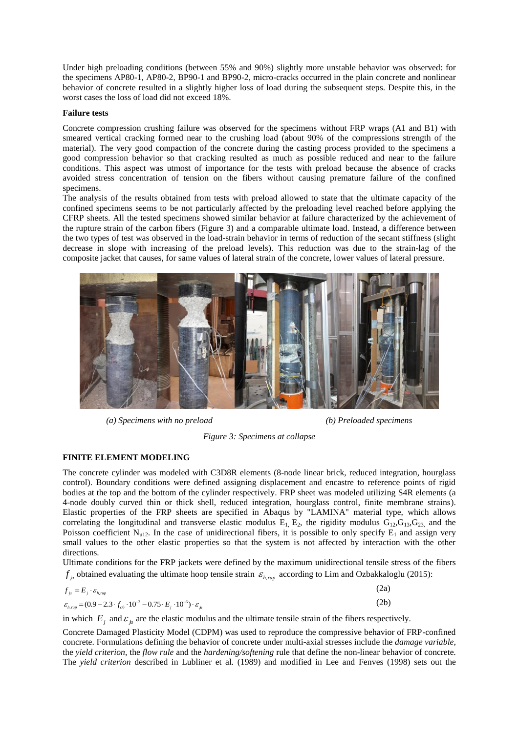Under high preloading conditions (between 55% and 90%) slightly more unstable behavior was observed: for the specimens AP80-1, AP80-2, BP90-1 and BP90-2, micro-cracks occurred in the plain concrete and nonlinear behavior of concrete resulted in a slightly higher loss of load during the subsequent steps. Despite this, in the worst cases the loss of load did not exceed 18%.

#### **Failure tests**

Concrete compression crushing failure was observed for the specimens without FRP wraps (A1 and B1) with smeared vertical cracking formed near to the crushing load (about 90% of the compressions strength of the material). The very good compaction of the concrete during the casting process provided to the specimens a good compression behavior so that cracking resulted as much as possible reduced and near to the failure conditions. This aspect was utmost of importance for the tests with preload because the absence of cracks avoided stress concentration of tension on the fibers without causing premature failure of the confined specimens.

The analysis of the results obtained from tests with preload allowed to state that the ultimate capacity of the confined specimens seems to be not particularly affected by the preloading level reached before applying the CFRP sheets. All the tested specimens showed similar behavior at failure characterized by the achievement of the rupture strain of the carbon fibers (Figure 3) and a comparable ultimate load. Instead, a difference between the two types of test was observed in the load-strain behavior in terms of reduction of the secant stiffness (slight decrease in slope with increasing of the preload levels). This reduction was due to the strain-lag of the composite jacket that causes, for same values of lateral strain of the concrete, lower values of lateral pressure.



*(a) Specimens with no preload (b) Preloaded specimens*

*Figure 3: Specimens at collapse*

### **FINITE ELEMENT MODELING**

The concrete cylinder was modeled with C3D8R elements (8-node linear brick, reduced integration, hourglass control). Boundary conditions were defined assigning displacement and encastre to reference points of rigid bodies at the top and the bottom of the cylinder respectively. FRP sheet was modeled utilizing S4R elements (a 4-node doubly curved thin or thick shell, reduced integration, hourglass control, finite membrane strains). Elastic properties of the FRP sheets are specified in Abaqus by "LAMINA" material type, which allows correlating the longitudinal and transverse elastic modulus  $E_1$ ,  $E_2$ , the rigidity modulus  $G_{12}$ ,  $G_{13}$ ,  $G_{23}$ , and the Poisson coefficient  $N_{u12}$ . In the case of unidirectional fibers, it is possible to only specify  $E_1$  and assign very small values to the other elastic properties so that the system is not affected by interaction with the other directions.

Ultimate conditions for the FRP jackets were defined by the maximum unidirectional tensile stress of the fibers  $f_{\mu}$  obtained evaluating the ultimate hoop tensile strain  $\varepsilon_{h,nup}$  according to Lim and Ozbakkaloglu (2015):

$$
f_{\mu} = E_j \cdot \varepsilon_{h,n\mu}
$$
\n
$$
\varepsilon_{h,n\mu} = (0.9 - 2.3 \cdot f_{c0} \cdot 10^{-3} - 0.75 \cdot E_j \cdot 10^{-6}) \cdot \varepsilon_{\mu}
$$
\n
$$
(2a)
$$
\n
$$
(2b)
$$

in which  $E_j$  and  $\varepsilon_{j\mu}$  are the elastic modulus and the ultimate tensile strain of the fibers respectively.

Concrete Damaged Plasticity Model (CDPM) was used to reproduce the compressive behavior of FRP-confined concrete. Formulations defining the behavior of concrete under multi-axial stresses include the *damage variable*, the *yield criterion*, the *flow rule* and the *hardening/softening* rule that define the non-linear behavior of concrete. The *yield criterion* described in Lubliner et al. (1989) and modified in Lee and Fenves (1998) sets out the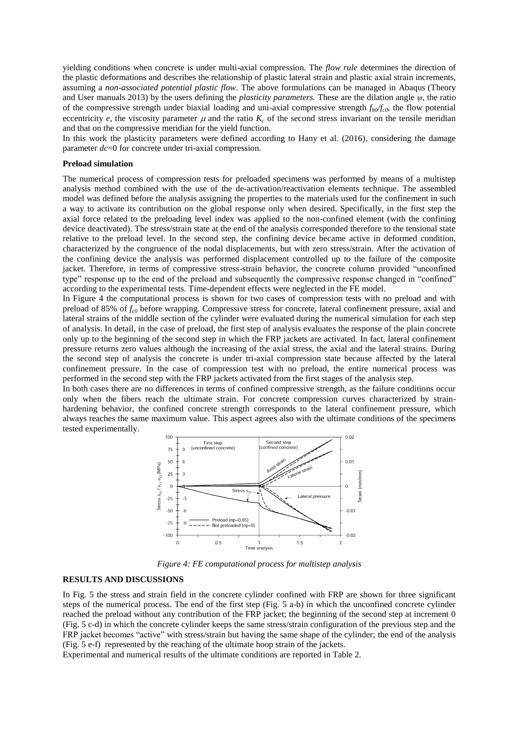yielding conditions when concrete is under multi-axial compression. The *flow rule* determines the direction of the plastic deformations and describes the relationship of plastic lateral strain and plastic axial strain increments, assuming a *non-associated potential plastic flow*. The above formulations can be managed in Abaqus (Theory and User manuals 2013) by the users defining the *plasticity parameters.* These are the dilation angle *ψ*, the ratio of the compressive strength under biaxial loading and uni-axial compressive strength  $f_b\phi f_{c0}$ , the flow potential eccentricity *e*, the viscosity parameter  $\mu$  and the ratio  $K_c$  of the second stress invariant on the tensile meridian and that on the compressive meridian for the yield function.

In this work the plasticity parameters were defined according to Hany et al. (2016), considering the damage parameter *dc*=0 for concrete under tri-axial compression.

#### **Preload simulation**

The numerical process of compression tests for preloaded specimens was performed by means of a multistep analysis method combined with the use of the de-activation/reactivation elements technique. The assembled model was defined before the analysis assigning the properties to the materials used for the confinement in such a way to activate its contribution on the global response only when desired. Specifically, in the first step the axial force related to the preloading level index was applied to the non-confined element (with the confining device deactivated). The stress/strain state at the end of the analysis corresponded therefore to the tensional state relative to the preload level. In the second step, the confining device became active in deformed condition, characterized by the congruence of the nodal displacements, but with zero stress/strain. After the activation of the confining device the analysis was performed displacement controlled up to the failure of the composite jacket. Therefore, in terms of compressive stress-strain behavior, the concrete column provided "unconfined type" response up to the end of the preload and subsequently the compressive response changed in "confined" according to the experimental tests. Time-dependent effects were neglected in the FE model.

In Figure 4 the computational process is shown for two cases of compression tests with no preload and with preload of 85% of *fc0* before wrapping. Compressive stress for concrete, lateral confinement pressure, axial and lateral strains of the middle section of the cylinder were evaluated during the numerical simulation for each step of analysis. In detail, in the case of preload, the first step of analysis evaluates the response of the plain concrete only up to the beginning of the second step in which the FRP jackets are activated. In fact, lateral confinement pressure returns zero values although the increasing of the axial stress, the axial and the lateral strains. During the second step of analysis the concrete is under tri-axial compression state because affected by the lateral confinement pressure. In the case of compression test with no preload, the entire numerical process was performed in the second step with the FRP jackets activated from the first stages of the analysis step.

In both cases there are no differences in terms of confined compressive strength, as the failure conditions occur only when the fibers reach the ultimate strain. For concrete compression curves characterized by strainhardening behavior, the confined concrete strength corresponds to the lateral confinement pressure, which always reaches the same maximum value. This aspect agrees also with the ultimate conditions of the specimens tested experimentally.



*Figure 4: FE computational process for multistep analysis*

#### **RESULTS AND DISCUSSIONS**

In Fig. 5 the stress and strain field in the concrete cylinder confined with FRP are shown for three significant steps of the numerical process. The end of the first step (Fig. 5 a-b) in which the unconfined concrete cylinder reached the preload without any contribution of the FRP jacket; the beginning of the second step at increment 0 (Fig. 5 c-d) in which the concrete cylinder keeps the same stress/strain configuration of the previous step and the FRP jacket becomes "active" with stress/strain but having the same shape of the cylinder; the end of the analysis (Fig. 5 e-f) represented by the reaching of the ultimate hoop strain of the jackets.

Experimental and numerical results of the ultimate conditions are reported in Table 2.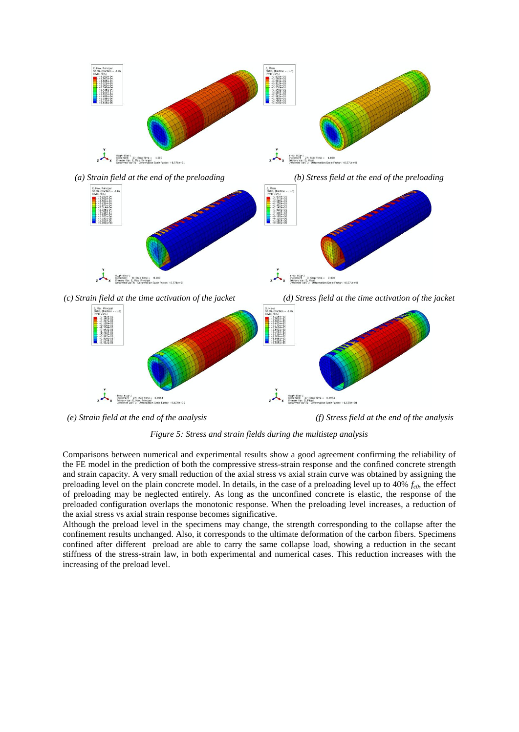

*Figure 5: Stress and strain fields during the multistep analysis*

Comparisons between numerical and experimental results show a good agreement confirming the reliability of the FE model in the prediction of both the compressive stress-strain response and the confined concrete strength and strain capacity. A very small reduction of the axial stress vs axial strain curve was obtained by assigning the preloading level on the plain concrete model. In details, in the case of a preloading level up to 40% *fc0*, the effect of preloading may be neglected entirely. As long as the unconfined concrete is elastic, the response of the preloaded configuration overlaps the monotonic response. When the preloading level increases, a reduction of the axial stress vs axial strain response becomes significative.

Although the preload level in the specimens may change, the strength corresponding to the collapse after the confinement results unchanged. Also, it corresponds to the ultimate deformation of the carbon fibers. Specimens confined after different preload are able to carry the same collapse load, showing a reduction in the secant stiffness of the stress-strain law, in both experimental and numerical cases. This reduction increases with the increasing of the preload level.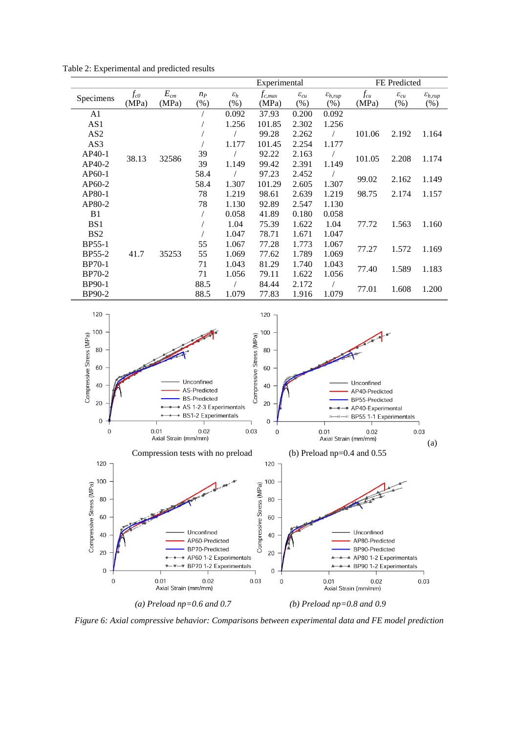Table 2: Experimental and predicted results

|                 |          |          |        |                 | Experimental | FE Predicted       |                       |          |                    |                       |
|-----------------|----------|----------|--------|-----------------|--------------|--------------------|-----------------------|----------|--------------------|-----------------------|
| Specimens       | $f_{c0}$ | $E_{cm}$ | $n_P$  | $\varepsilon_h$ | $f_{c,max}$  | $\varepsilon_{cu}$ | $\varepsilon_{h,rup}$ | $f_{cu}$ | $\varepsilon_{cu}$ | $\varepsilon_{h,rup}$ |
|                 | (MPa)    | (MPa)    | $(\%)$ | $(\%)$          | (MPa)        | $(\% )$            | $(\%)$                | (MPa)    | (% )               | $(\%)$                |
| A1              |          |          |        | 0.092           | 37.93        | 0.200              | 0.092                 |          |                    |                       |
| AS <sub>1</sub> |          |          |        | 1.256           | 101.85       | 2.302              | 1.256                 |          |                    |                       |
| AS <sub>2</sub> |          |          |        |                 | 99.28        | 2.262              |                       | 101.06   | 2.192              | 1.164                 |
| AS3             |          |          |        | 1.177           | 101.45       | 2.254              | 1.177                 |          |                    |                       |
| $AP40-1$        |          | 32586    | 39     |                 | 92.22        | 2.163              |                       | 101.05   | 2.208              | 1.174                 |
| AP40-2          | 38.13    |          | 39     | 1.149           | 99.42        | 2.391              | 1.149                 |          |                    |                       |
| $AP60-1$        |          |          | 58.4   |                 | 97.23        | 2.452              |                       | 99.02    | 2.162              | 1.149                 |
| $AP60-2$        |          |          | 58.4   | 1.307           | 101.29       | 2.605              | 1.307                 |          |                    |                       |
| AP80-1          |          |          | 78     | 1.219           | 98.61        | 2.639              | 1.219                 | 98.75    | 2.174              | 1.157                 |
| AP80-2          |          |          | 78     | 1.130           | 92.89        | 2.547              | 1.130                 |          |                    |                       |
| B <sub>1</sub>  |          |          |        | 0.058           | 41.89        | 0.180              | 0.058                 |          |                    |                       |
| BS1             |          |          |        | 1.04            | 75.39        | 1.622              | 1.04                  | 77.72    | 1.563              | 1.160                 |
| B <sub>S2</sub> |          |          |        | 1.047           | 78.71        | 1.671              | 1.047                 |          |                    |                       |
| BP55-1          |          |          | 55     | 1.067           | 77.28        | 1.773              | 1.067                 |          |                    |                       |
| <b>BP55-2</b>   | 41.7     | 35253    | 55     | 1.069           | 77.62        | 1.789              | 1.069                 | 77.27    | 1.572              | 1.169                 |
| <b>BP70-1</b>   |          |          | 71     | 1.043           | 81.29        | 1.740              | 1.043                 |          |                    |                       |
| BP70-2          |          |          | 71     | 1.056           | 79.11        | 1.622              | 1.056                 | 77.40    | 1.589              | 1.183                 |
| <b>BP90-1</b>   |          |          | 88.5   |                 | 84.44        | 2.172              |                       |          |                    |                       |
| BP90-2          |          |          | 88.5   | 1.079           | 77.83        | 1.916              | 1.079                 | 77.01    | 1.608              | 1.200                 |



*Figure 6: Axial compressive behavior: Comparisons between experimental data and FE model prediction*